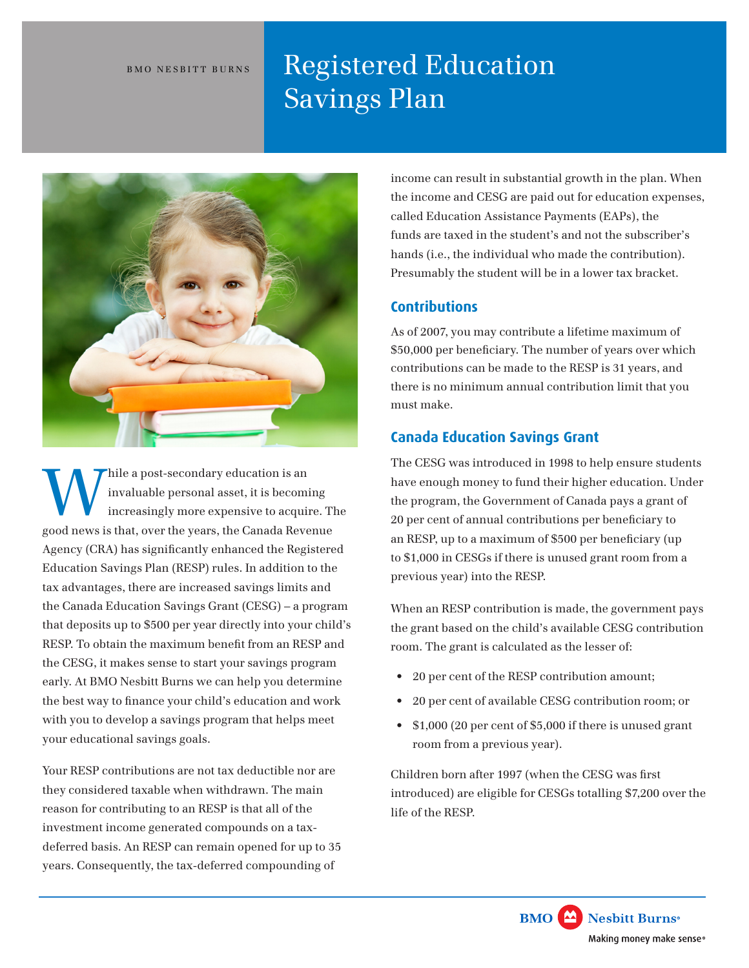# BMO NESBITT BURNS **Registered Education** Savings Plan



good news is that, over the years, the Canada Revenue Thile a post-secondary education is an invaluable personal asset, it is becominent as an increasingly more expensive to acquire invaluable personal asset, it is becoming increasingly more expensive to acquire. The Agency (CRA) has significantly enhanced the Registered Education Savings Plan (RESP) rules. In addition to the tax advantages, there are increased savings limits and the Canada Education Savings Grant (CESG) – a program that deposits up to \$500 per year directly into your child's RESP. To obtain the maximum benefit from an RESP and the CESG, it makes sense to start your savings program early. At BMO Nesbitt Burns we can help you determine the best way to finance your child's education and work with you to develop a savings program that helps meet your educational savings goals.

Your RESP contributions are not tax deductible nor are they considered taxable when withdrawn. The main reason for contributing to an RESP is that all of the investment income generated compounds on a taxdeferred basis. An RESP can remain opened for up to 35 years. Consequently, the tax-deferred compounding of

income can result in substantial growth in the plan. When the income and CESG are paid out for education expenses, called Education Assistance Payments (EAPs), the funds are taxed in the student's and not the subscriber's hands (i.e., the individual who made the contribution). Presumably the student will be in a lower tax bracket.

#### **Contributions**

As of 2007, you may contribute a lifetime maximum of \$50,000 per beneficiary. The number of years over which contributions can be made to the RESP is 31 years, and there is no minimum annual contribution limit that you must make.

## **Canada Education Savings Grant**

The CESG was introduced in 1998 to help ensure students have enough money to fund their higher education. Under the program, the Government of Canada pays a grant of 20 per cent of annual contributions per beneficiary to an RESP, up to a maximum of \$500 per beneficiary (up to \$1,000 in CESGs if there is unused grant room from a previous year) into the RESP.

When an RESP contribution is made, the government pays the grant based on the child's available CESG contribution room. The grant is calculated as the lesser of:

- 20 per cent of the RESP contribution amount;
- 20 per cent of available CESG contribution room; or
- \$1,000 (20 per cent of \$5,000 if there is unused grant room from a previous year).

Children born after 1997 (when the CESG was first introduced) are eligible for CESGs totalling \$7,200 over the life of the RESP.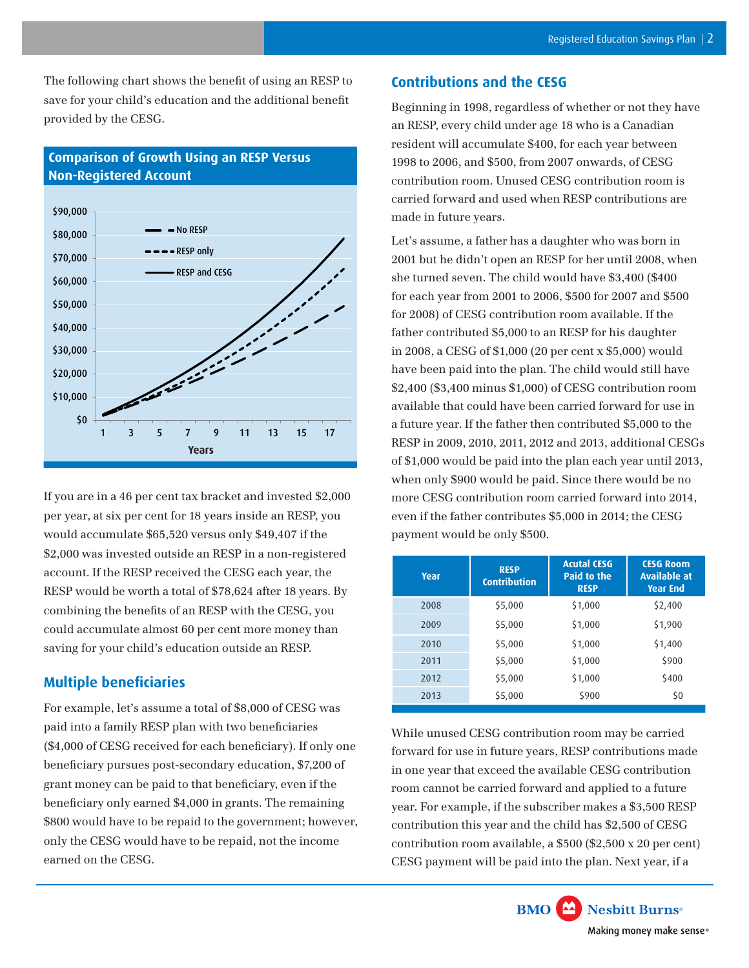The following chart shows the benefit of using an RESP to save for your child's education and the additional benefit provided by the CESG.



# **Comparison of Growth Using an RESP Versus Non-Registered Account**

If you are in a 46 per cent tax bracket and invested \$2,000 per year, at six per cent for 18 years inside an RESP, you would accumulate \$65,520 versus only \$49,407 if the \$2,000 was invested outside an RESP in a non-registered account. If the RESP received the CESG each year, the RESP would be worth a total of \$78,624 after 18 years. By combining the benefits of an RESP with the CESG, you could accumulate almost 60 per cent more money than saving for your child's education outside an RESP.

### **Multiple beneficiaries**

For example, let's assume a total of \$8,000 of CESG was paid into a family RESP plan with two beneficiaries (\$4,000 of CESG received for each beneficiary). If only one beneficiary pursues post-secondary education, \$7,200 of grant money can be paid to that beneficiary, even if the beneficiary only earned \$4,000 in grants. The remaining \$800 would have to be repaid to the government; however, only the CESG would have to be repaid, not the income earned on the CESG.

### **Contributions and the CESG**

Beginning in 1998, regardless of whether or not they have an RESP, every child under age 18 who is a Canadian resident will accumulate \$400, for each year between 1998 to 2006, and \$500, from 2007 onwards, of CESG contribution room. Unused CESG contribution room is carried forward and used when RESP contributions are made in future years.

Let's assume, a father has a daughter who was born in 2001 but he didn't open an RESP for her until 2008, when she turned seven. The child would have \$3,400 (\$400 for each year from 2001 to 2006, \$500 for 2007 and \$500 for 2008) of CESG contribution room available. If the father contributed \$5,000 to an RESP for his daughter in 2008, a CESG of \$1,000 (20 per cent x \$5,000) would have been paid into the plan. The child would still have \$2,400 (\$3,400 minus \$1,000) of CESG contribution room available that could have been carried forward for use in a future year. If the father then contributed \$5,000 to the RESP in 2009, 2010, 2011, 2012 and 2013, additional CESGs of \$1,000 would be paid into the plan each year until 2013, when only \$900 would be paid. Since there would be no more CESG contribution room carried forward into 2014, even if the father contributes \$5,000 in 2014; the CESG payment would be only \$500.

| <b>Year</b> | <b>RESP</b><br><b>Contribution</b> | <b>Acutal CESG</b><br><b>Paid to the</b><br><b>RESP</b> | <b>CESG Room</b><br>Available at<br><b>Year End</b> |
|-------------|------------------------------------|---------------------------------------------------------|-----------------------------------------------------|
| 2008        | \$5,000                            | \$1,000                                                 | \$2,400                                             |
| 2009        | \$5,000                            | \$1,000                                                 | \$1,900                                             |
| 2010        | \$5,000                            | \$1,000                                                 | \$1,400                                             |
| 2011        | \$5,000                            | \$1,000                                                 | \$900                                               |
| 2012        | \$5,000                            | \$1,000                                                 | \$400                                               |
| 2013        | \$5,000                            | \$900                                                   | \$0                                                 |

While unused CESG contribution room may be carried forward for use in future years, RESP contributions made in one year that exceed the available CESG contribution room cannot be carried forward and applied to a future year. For example, if the subscriber makes a \$3,500 RESP contribution this year and the child has \$2,500 of CESG contribution room available, a \$500 (\$2,500 x 20 per cent) CESG payment will be paid into the plan. Next year, if a

> **BMO** Nesbitt Burns<sup>®</sup> Making money make sense®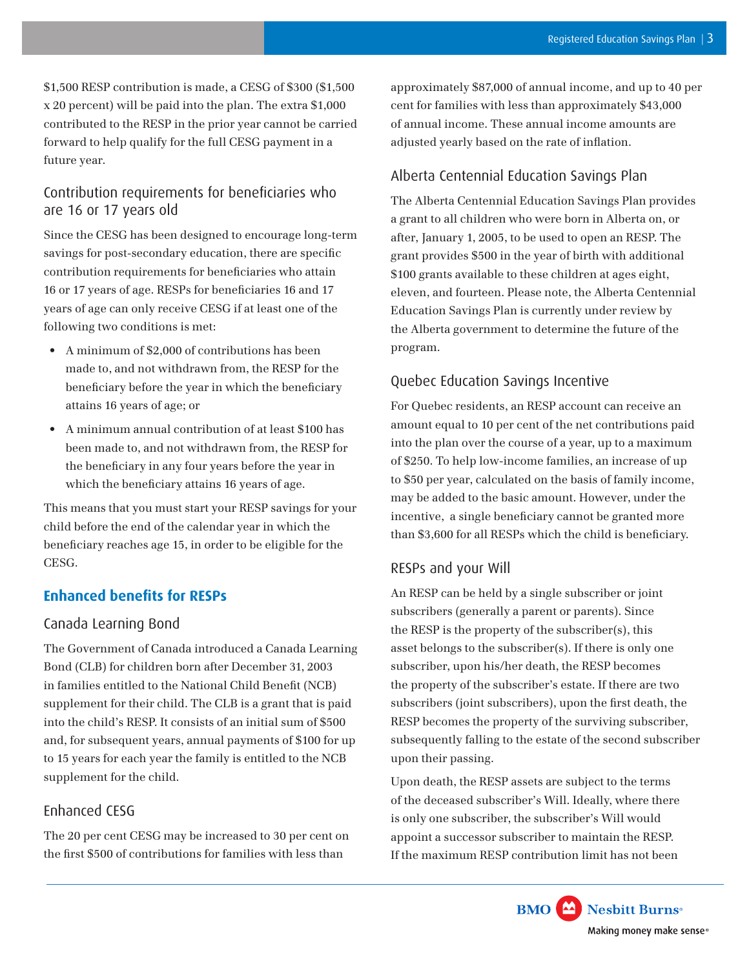\$1,500 RESP contribution is made, a CESG of \$300 (\$1,500 x 20 percent) will be paid into the plan. The extra \$1,000 contributed to the RESP in the prior year cannot be carried forward to help qualify for the full CESG payment in a future year.

## Contribution requirements for beneficiaries who are 16 or 17 years old

Since the CESG has been designed to encourage long-term savings for post-secondary education, there are specific contribution requirements for beneficiaries who attain 16 or 17 years of age. RESPs for beneficiaries 16 and 17 years of age can only receive CESG if at least one of the following two conditions is met:

- • A minimum of \$2,000 of contributions has been made to, and not withdrawn from, the RESP for the beneficiary before the year in which the beneficiary attains 16 years of age; or
- • A minimum annual contribution of at least \$100 has been made to, and not withdrawn from, the RESP for the beneficiary in any four years before the year in which the beneficiary attains 16 years of age.

This means that you must start your RESP savings for your child before the end of the calendar year in which the beneficiary reaches age 15, in order to be eligible for the CESG.

# **Enhanced benefits for RESPs**

#### Canada Learning Bond

The Government of Canada introduced a Canada Learning Bond (CLB) for children born after December 31, 2003 in families entitled to the National Child Benefit (NCB) supplement for their child. The CLB is a grant that is paid into the child's RESP. It consists of an initial sum of \$500 and, for subsequent years, annual payments of \$100 for up to 15 years for each year the family is entitled to the NCB supplement for the child.

#### Enhanced CESG

The 20 per cent CESG may be increased to 30 per cent on the first \$500 of contributions for families with less than

approximately \$87,000 of annual income, and up to 40 per cent for families with less than approximately \$43,000 of annual income. These annual income amounts are adjusted yearly based on the rate of inflation.

### Alberta Centennial Education Savings Plan

The Alberta Centennial Education Savings Plan provides a grant to all children who were born in Alberta on, or after, January 1, 2005, to be used to open an RESP. The grant provides \$500 in the year of birth with additional \$100 grants available to these children at ages eight, eleven, and fourteen. Please note, the Alberta Centennial Education Savings Plan is currently under review by the Alberta government to determine the future of the program.

# Quebec Education Savings Incentive

For Quebec residents, an RESP account can receive an amount equal to 10 per cent of the net contributions paid into the plan over the course of a year, up to a maximum of \$250. To help low-income families, an increase of up to \$50 per year, calculated on the basis of family income, may be added to the basic amount. However, under the incentive, a single beneficiary cannot be granted more than \$3,600 for all RESPs which the child is beneficiary.

#### RESPs and your Will

An RESP can be held by a single subscriber or joint subscribers (generally a parent or parents). Since the RESP is the property of the subscriber(s), this asset belongs to the subscriber(s). If there is only one subscriber, upon his/her death, the RESP becomes the property of the subscriber's estate. If there are two subscribers (joint subscribers), upon the first death, the RESP becomes the property of the surviving subscriber, subsequently falling to the estate of the second subscriber upon their passing.

Upon death, the RESP assets are subject to the terms of the deceased subscriber's Will. Ideally, where there is only one subscriber, the subscriber's Will would appoint a successor subscriber to maintain the RESP. If the maximum RESP contribution limit has not been